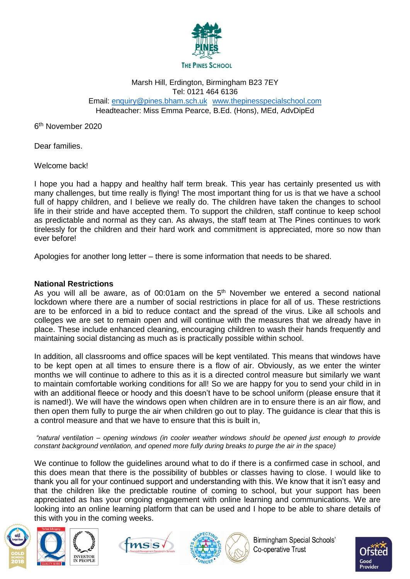

# Marsh Hill, Erdington, Birmingham B23 7EY Tel: 0121 464 6136 Email: [enquiry@pines.bham.sch.uk](mailto:enquiry@pines.bham.sch.uk) [www.thepinesspecialschool.com](http://www.thepinesspecialschool.com/)

Headteacher: Miss Emma Pearce, B.Ed. (Hons), MEd, AdvDipEd

6<sup>th</sup> November 2020

Dear families.

Welcome back!

I hope you had a happy and healthy half term break. This year has certainly presented us with many challenges, but time really is flying! The most important thing for us is that we have a school full of happy children, and I believe we really do. The children have taken the changes to school life in their stride and have accepted them. To support the children, staff continue to keep school as predictable and normal as they can. As always, the staff team at The Pines continues to work tirelessly for the children and their hard work and commitment is appreciated, more so now than ever before!

Apologies for another long letter – there is some information that needs to be shared.

### **National Restrictions**

As you will all be aware, as of 00:01am on the  $5<sup>th</sup>$  November we entered a second national lockdown where there are a number of social restrictions in place for all of us. These restrictions are to be enforced in a bid to reduce contact and the spread of the virus. Like all schools and colleges we are set to remain open and will continue with the measures that we already have in place. These include enhanced cleaning, encouraging children to wash their hands frequently and maintaining social distancing as much as is practically possible within school.

In addition, all classrooms and office spaces will be kept ventilated. This means that windows have to be kept open at all times to ensure there is a flow of air. Obviously, as we enter the winter months we will continue to adhere to this as it is a directed control measure but similarly we want to maintain comfortable working conditions for all! So we are happy for you to send your child in in with an additional fleece or hoody and this doesn't have to be school uniform (please ensure that it is named!). We will have the windows open when children are in to ensure there is an air flow, and then open them fully to purge the air when children go out to play. The guidance is clear that this is a control measure and that we have to ensure that this is built in,

*"natural ventilation – opening windows (in cooler weather windows should be opened just enough to provide constant background ventilation, and opened more fully during breaks to purge the air in the space)*

We continue to follow the guidelines around what to do if there is a confirmed case in school, and this does mean that there is the possibility of bubbles or classes having to close. I would like to thank you all for your continued support and understanding with this. We know that it isn't easy and that the children like the predictable routine of coming to school, but your support has been appreciated as has your ongoing engagement with online learning and communications. We are looking into an online learning platform that can be used and I hope to be able to share details of this with you in the coming weeks.









**Birmingham Special Schools'** Co-operative Trust

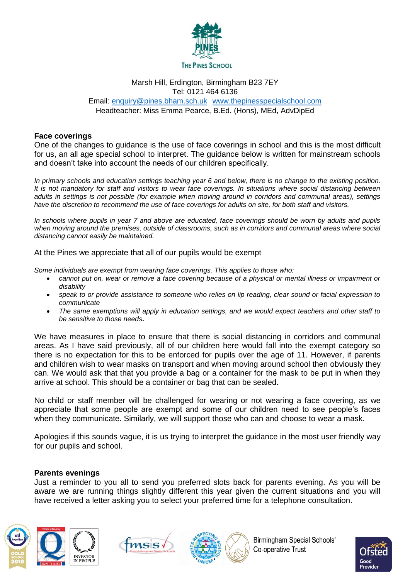

### Marsh Hill, Erdington, Birmingham B23 7EY Tel: 0121 464 6136 Email: [enquiry@pines.bham.sch.uk](mailto:enquiry@pines.bham.sch.uk) [www.thepinesspecialschool.com](http://www.thepinesspecialschool.com/) Headteacher: Miss Emma Pearce, B.Ed. (Hons), MEd, AdvDipEd

### **Face coverings**

One of the changes to guidance is the use of face coverings in school and this is the most difficult for us, an all age special school to interpret. The guidance below is written for mainstream schools and doesn't take into account the needs of our children specifically.

*In primary schools and education settings teaching year 6 and below, there is no change to the existing position. It is not mandatory for staff and visitors to wear face coverings. In situations where social distancing between adults in settings is not possible (for example when moving around in corridors and communal areas), settings have the discretion to recommend the use of face coverings for adults on site, for both staff and visitors.*

*In schools where pupils in year 7 and above are educated, face coverings should be worn by adults and pupils when moving around the premises, outside of classrooms, such as in corridors and communal areas where social distancing cannot easily be maintained.* 

At the Pines we appreciate that all of our pupils would be exempt

*Some individuals are exempt from wearing face coverings. This applies to those who:*

- *cannot put on, wear or remove a face covering because of a physical or mental illness or impairment or disability*
- *speak to or provide assistance to someone who relies on lip reading, clear sound or facial expression to communicate*
- *The same exemptions will apply in education settings, and we would expect teachers and other staff to be sensitive to those needs.*

We have measures in place to ensure that there is social distancing in corridors and communal areas. As I have said previously, all of our children here would fall into the exempt category so there is no expectation for this to be enforced for pupils over the age of 11. However, if parents and children wish to wear masks on transport and when moving around school then obviously they can. We would ask that that you provide a bag or a container for the mask to be put in when they arrive at school. This should be a container or bag that can be sealed.

No child or staff member will be challenged for wearing or not wearing a face covering, as we appreciate that some people are exempt and some of our children need to see people's faces when they communicate. Similarly, we will support those who can and choose to wear a mask.

Apologies if this sounds vague, it is us trying to interpret the guidance in the most user friendly way for our pupils and school.

#### **Parents evenings**

Just a reminder to you all to send you preferred slots back for parents evening. As you will be aware we are running things slightly different this year given the current situations and you will have received a letter asking you to select your preferred time for a telephone consultation.









**Birmingham Special Schools'** Co-operative Trust

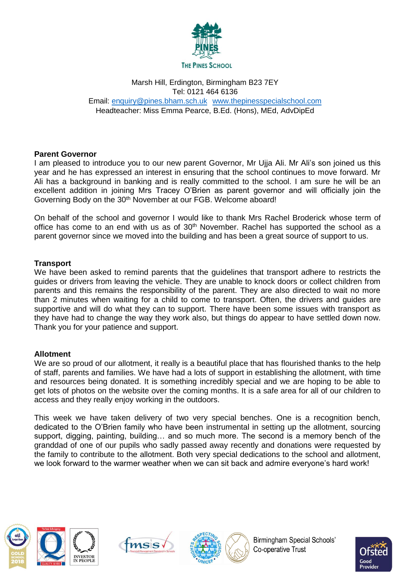

# Marsh Hill, Erdington, Birmingham B23 7EY Tel: 0121 464 6136 Email: [enquiry@pines.bham.sch.uk](mailto:enquiry@pines.bham.sch.uk) [www.thepinesspecialschool.com](http://www.thepinesspecialschool.com/) Headteacher: Miss Emma Pearce, B.Ed. (Hons), MEd, AdvDipEd

# **Parent Governor**

I am pleased to introduce you to our new parent Governor, Mr Ujja Ali. Mr Ali's son joined us this year and he has expressed an interest in ensuring that the school continues to move forward. Mr Ali has a background in banking and is really committed to the school. I am sure he will be an excellent addition in joining Mrs Tracey O'Brien as parent governor and will officially join the Governing Body on the 30<sup>th</sup> November at our FGB. Welcome aboard!

On behalf of the school and governor I would like to thank Mrs Rachel Broderick whose term of office has come to an end with us as of 30<sup>th</sup> November. Rachel has supported the school as a parent governor since we moved into the building and has been a great source of support to us.

## **Transport**

We have been asked to remind parents that the guidelines that transport adhere to restricts the guides or drivers from leaving the vehicle. They are unable to knock doors or collect children from parents and this remains the responsibility of the parent. They are also directed to wait no more than 2 minutes when waiting for a child to come to transport. Often, the drivers and guides are supportive and will do what they can to support. There have been some issues with transport as they have had to change the way they work also, but things do appear to have settled down now. Thank you for your patience and support.

## **Allotment**

We are so proud of our allotment, it really is a beautiful place that has flourished thanks to the help of staff, parents and families. We have had a lots of support in establishing the allotment, with time and resources being donated. It is something incredibly special and we are hoping to be able to get lots of photos on the website over the coming months. It is a safe area for all of our children to access and they really enjoy working in the outdoors.

This week we have taken delivery of two very special benches. One is a recognition bench, dedicated to the O'Brien family who have been instrumental in setting up the allotment, sourcing support, digging, painting, building… and so much more. The second is a memory bench of the granddad of one of our pupils who sadly passed away recently and donations were requested by the family to contribute to the allotment. Both very special dedications to the school and allotment, we look forward to the warmer weather when we can sit back and admire everyone's hard work!









**Birmingham Special Schools'** Co-operative Trust